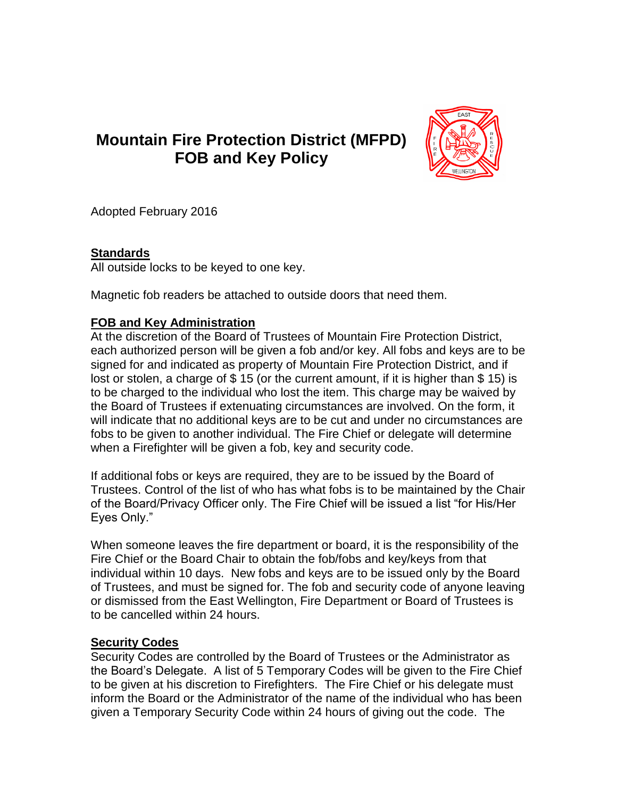# **Mountain Fire Protection District (MFPD) FOB and Key Policy**



Adopted February 2016

### **Standards**

All outside locks to be keyed to one key.

Magnetic fob readers be attached to outside doors that need them.

### **FOB and Key Administration**

At the discretion of the Board of Trustees of Mountain Fire Protection District, each authorized person will be given a fob and/or key. All fobs and keys are to be signed for and indicated as property of Mountain Fire Protection District, and if lost or stolen, a charge of \$ 15 (or the current amount, if it is higher than \$ 15) is to be charged to the individual who lost the item. This charge may be waived by the Board of Trustees if extenuating circumstances are involved. On the form, it will indicate that no additional keys are to be cut and under no circumstances are fobs to be given to another individual. The Fire Chief or delegate will determine when a Firefighter will be given a fob, key and security code.

If additional fobs or keys are required, they are to be issued by the Board of Trustees. Control of the list of who has what fobs is to be maintained by the Chair of the Board/Privacy Officer only. The Fire Chief will be issued a list "for His/Her Eyes Only."

When someone leaves the fire department or board, it is the responsibility of the Fire Chief or the Board Chair to obtain the fob/fobs and key/keys from that individual within 10 days. New fobs and keys are to be issued only by the Board of Trustees, and must be signed for. The fob and security code of anyone leaving or dismissed from the East Wellington, Fire Department or Board of Trustees is to be cancelled within 24 hours.

## **Security Codes**

Security Codes are controlled by the Board of Trustees or the Administrator as the Board's Delegate. A list of 5 Temporary Codes will be given to the Fire Chief to be given at his discretion to Firefighters. The Fire Chief or his delegate must inform the Board or the Administrator of the name of the individual who has been given a Temporary Security Code within 24 hours of giving out the code. The